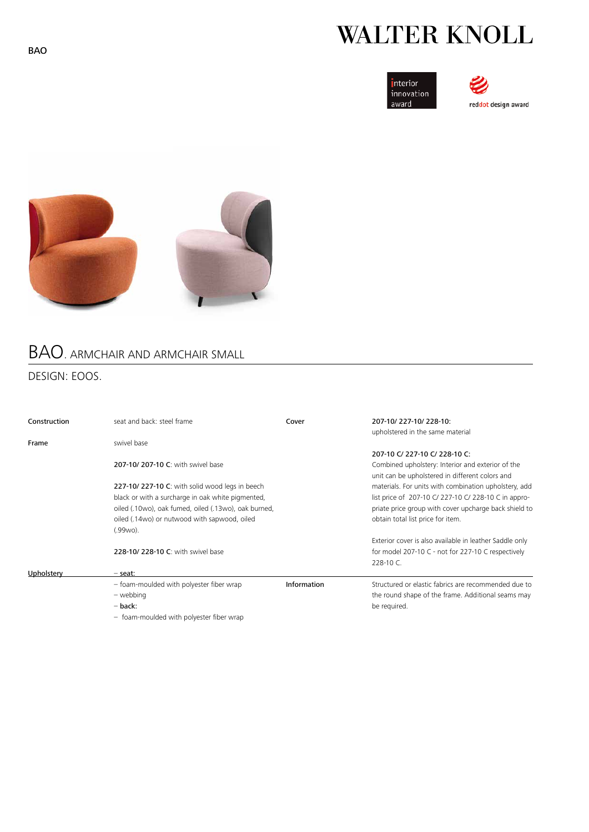# **WALTER KNOLL**







## BAO. ARMCHAIR AND ARMCHAIR SMALL

## DESIGN: EOOS.

| Construction | seat and back: steel frame                           | Cover       | 207-10/227-10/228-10:<br>upholstered in the same material                                                                             |
|--------------|------------------------------------------------------|-------------|---------------------------------------------------------------------------------------------------------------------------------------|
| Frame        | swivel base                                          |             |                                                                                                                                       |
|              | 207-10/207-10 C: with swivel base                    |             | 207-10 C/ 227-10 C/ 228-10 C:<br>Combined upholstery: Interior and exterior of the<br>unit can be upholstered in different colors and |
|              | 227-10/227-10 C: with solid wood legs in beech       |             | materials. For units with combination upholstery, add                                                                                 |
|              | black or with a surcharge in oak white pigmented,    |             | list price of 207-10 C/ 227-10 C/ 228-10 C in appro-                                                                                  |
|              | oiled (.10wo), oak fumed, oiled (.13wo), oak burned, |             | priate price group with cover upcharge back shield to                                                                                 |
|              | oiled (.14wo) or nutwood with sapwood, oiled         |             | obtain total list price for item.                                                                                                     |
|              | (.99wo).                                             |             |                                                                                                                                       |
|              |                                                      |             | Exterior cover is also available in leather Saddle only                                                                               |
|              | 228-10/228-10 C: with swivel base                    |             | for model 207-10 C - not for 227-10 C respectively<br>228-10 C.                                                                       |
| Upholstery   | - seat:                                              |             |                                                                                                                                       |
|              | - foam-moulded with polyester fiber wrap             | Information | Structured or elastic fabrics are recommended due to                                                                                  |
|              | - webbing                                            |             | the round shape of the frame. Additional seams may                                                                                    |
|              | $-$ back:                                            |             | be required.                                                                                                                          |
|              | - foam-moulded with polyester fiber wrap             |             |                                                                                                                                       |